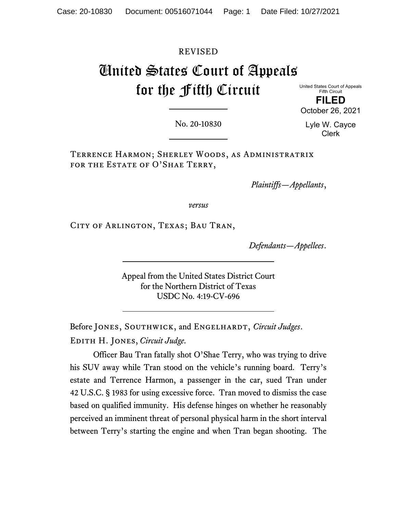#### REVISED

# United States Court of Appeals for the Fifth Circuit

United States Court of Appeals Fifth Circuit **FILED** October 26, 2021

No. 20-10830

Lyle W. Cayce Clerk

Terrence Harmon; Sherley Woods, as Administratrix FOR THE ESTATE OF O'SHAE TERRY,

*Plaintiffs—Appellants*,

*versus*

City of Arlington, Texas; Bau Tran,

*Defendants—Appellees*.

Appeal from the United States District Court for the Northern District of Texas USDC No. 4:19-CV-696

Before JONES, SOUTHWICK, and ENGELHARDT, *Circuit Judges*. Edith H. Jones, *Circuit Judge*.

Officer Bau Tran fatally shot O'Shae Terry, who was trying to drive his SUV away while Tran stood on the vehicle's running board. Terry's estate and Terrence Harmon, a passenger in the car, sued Tran under 42 U.S.C. § 1983 for using excessive force. Tran moved to dismiss the case based on qualified immunity. His defense hinges on whether he reasonably perceived an imminent threat of personal physical harm in the short interval between Terry's starting the engine and when Tran began shooting. The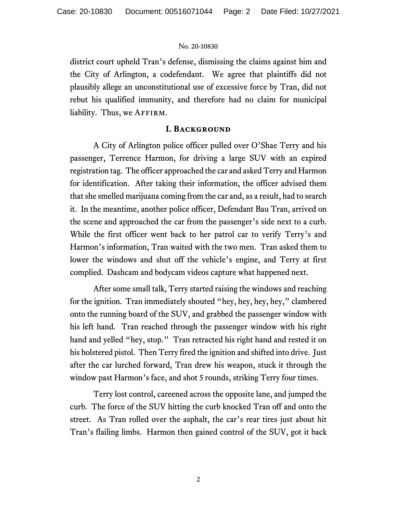district court upheld Tran's defense, dismissing the claims against him and the City of Arlington, a codefendant. We agree that plaintiffs did not plausibly allege an unconstitutional use of excessive force by Tran, did not rebut his qualified immunity, and therefore had no claim for municipal liability. Thus, we AFFIRM.

#### **I. Background**

A City of Arlington police officer pulled over O'Shae Terry and his passenger, Terrence Harmon, for driving a large SUV with an expired registration tag. The officer approached the car and asked Terry and Harmon for identification. After taking their information, the officer advised them that she smelled marijuana coming from the car and, as a result, had to search it. In the meantime, another police officer, Defendant Bau Tran, arrived on the scene and approached the car from the passenger's side next to a curb. While the first officer went back to her patrol car to verify Terry's and Harmon's information, Tran waited with the two men. Tran asked them to lower the windows and shut off the vehicle's engine, and Terry at first complied. Dashcam and bodycam videos capture what happened next.

After some small talk, Terry started raising the windows and reaching for the ignition. Tran immediately shouted "hey, hey, hey, hey," clambered onto the running board of the SUV, and grabbed the passenger window with his left hand. Tran reached through the passenger window with his right hand and yelled "hey, stop." Tran retracted his right hand and rested it on his holstered pistol.Then Terry fired the ignition and shifted into drive. Just after the car lurched forward, Tran drew his weapon, stuck it through the window past Harmon's face, and shot 5 rounds, striking Terry four times.

Terry lost control, careened across the opposite lane, and jumped the curb. The force of the SUV hitting the curb knocked Tran off and onto the street. As Tran rolled over the asphalt, the car's rear tires just about hit Tran's flailing limbs. Harmon then gained control of the SUV, got it back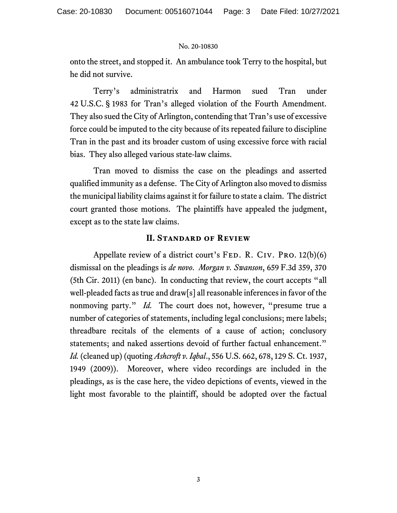onto the street, and stopped it. An ambulance took Terry to the hospital, but he did not survive.

Terry's administratrix and Harmon sued Tran under 42 U.S.C. § 1983 for Tran's alleged violation of the Fourth Amendment. They also sued the City of Arlington, contending that Tran's use of excessive force could be imputed to the city because of its repeated failure to discipline Tran in the past and its broader custom of using excessive force with racial bias. They also alleged various state-law claims.

Tran moved to dismiss the case on the pleadings and asserted qualified immunity as a defense. The City of Arlington also moved to dismiss the municipal liability claims against it for failure to state a claim. The district court granted those motions. The plaintiffs have appealed the judgment, except as to the state law claims.

#### **II. Standard of Review**

Appellate review of a district court's  $FED. R. CIV. PRO. 12(b)(6)$ dismissal on the pleadings is *de novo*. *Morgan v. Swanson*, 659 F.3d 359, 370 (5th Cir. 2011) (en banc). In conducting that review, the court accepts "all well-pleaded facts as true and draw[s] all reasonable inferences in favor of the nonmoving party." *Id.* The court does not, however, "presume true a number of categories of statements, including legal conclusions; mere labels; threadbare recitals of the elements of a cause of action; conclusory statements; and naked assertions devoid of further factual enhancement." *Id.*(cleaned up) (quoting *Ashcroft v. Iqbal*., 556 U.S. 662, 678, 129 S. Ct. 1937, 1949 (2009)). Moreover, where video recordings are included in the pleadings, as is the case here, the video depictions of events, viewed in the light most favorable to the plaintiff, should be adopted over the factual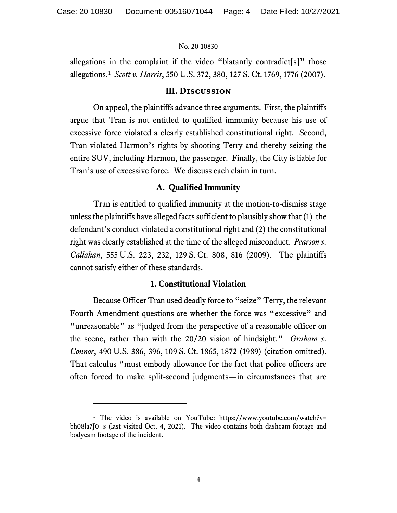allegations in the complaint if the video "blatantly contradict  $[s]$ " those allegations.[1](#page-3-0) *Scott v. Harris*, 550 U.S. 372, 380, 127 S. Ct. 1769, 1776 (2007).

#### **III. Discussion**

On appeal, the plaintiffs advance three arguments. First, the plaintiffs argue that Tran is not entitled to qualified immunity because his use of excessive force violated a clearly established constitutional right. Second, Tran violated Harmon's rights by shooting Terry and thereby seizing the entire SUV, including Harmon, the passenger. Finally, the City is liable for Tran's use of excessive force. We discuss each claim in turn.

#### **A. Qualified Immunity**

Tran is entitled to qualified immunity at the motion-to-dismiss stage unless the plaintiffs have alleged facts sufficient to plausibly show that (1) the defendant's conduct violated a constitutional right and (2) the constitutional right was clearly established at the time of the alleged misconduct. *Pearson v. Callahan*, 555 U.S. 223, 232, 129 S. Ct. 808, 816 (2009). The plaintiffs cannot satisfy either of these standards.

#### **1. Constitutional Violation**

Because Officer Tran used deadly force to "seize" Terry, the relevant Fourth Amendment questions are whether the force was "excessive" and "unreasonable" as "judged from the perspective of a reasonable officer on the scene, rather than with the 20/20 vision of hindsight." *Graham v. Connor*, 490 U.S. 386, 396, 109 S. Ct. 1865, 1872 (1989) (citation omitted). That calculus "must embody allowance for the fact that police officers are often forced to make split-second judgments—in circumstances that are

<span id="page-3-0"></span><sup>&</sup>lt;sup>1</sup> The video is available on YouTube: https://www.youtube.com/watch?v= bh08la7J0 s (last visited Oct. 4, 2021). The video contains both dashcam footage and bodycam footage of the incident.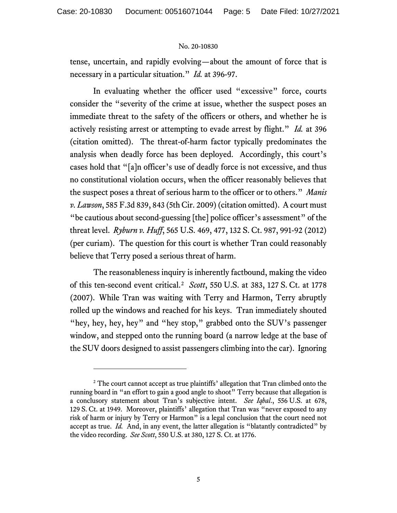tense, uncertain, and rapidly evolving—about the amount of force that is necessary in a particular situation." *Id.* at 396-97.

In evaluating whether the officer used "excessive" force, courts consider the "severity of the crime at issue, whether the suspect poses an immediate threat to the safety of the officers or others, and whether he is actively resisting arrest or attempting to evade arrest by flight." *Id.* at 396 (citation omitted). The threat-of-harm factor typically predominates the analysis when deadly force has been deployed. Accordingly, this court's cases hold that "[a]n officer's use of deadly force is not excessive, and thus no constitutional violation occurs, when the officer reasonably believes that the suspect poses a threat of serious harm to the officer or to others." *Manis v. Lawson*, 585 F.3d 839, 843 (5th Cir. 2009) (citation omitted). A court must "be cautious about second-guessing [the] police officer's assessment" of the threat level. *Ryburn v. Huff*, 565 U.S. 469, 477, 132 S. Ct. 987, 991-92 (2012) (per curiam). The question for this court is whether Tran could reasonably believe that Terry posed a serious threat of harm.

The reasonableness inquiry is inherently factbound, making the video of this ten-second event critical. [2](#page-4-0) *Scott*, 550 U.S. at 383, 127 S. Ct. at 1778 (2007). While Tran was waiting with Terry and Harmon, Terry abruptly rolled up the windows and reached for his keys. Tran immediately shouted "hey, hey, hey, hey" and "hey stop," grabbed onto the SUV's passenger window, and stepped onto the running board (a narrow ledge at the base of the SUV doors designed to assist passengers climbing into the car). Ignoring

<span id="page-4-0"></span><sup>&</sup>lt;sup>2</sup> The court cannot accept as true plaintiffs' allegation that Tran climbed onto the running board in "an effort to gain a good angle to shoot" Terry because that allegation is a conclusory statement about Tran's subjective intent. *See Iqbal*., 556 U.S. at 678, 129 S. Ct. at 1949. Moreover, plaintiffs' allegation that Tran was "never exposed to any risk of harm or injury by Terry or Harmon" is a legal conclusion that the court need not accept as true. *Id.* And, in any event, the latter allegation is "blatantly contradicted" by the video recording. *See Scott*, 550 U.S. at 380, 127 S. Ct. at 1776.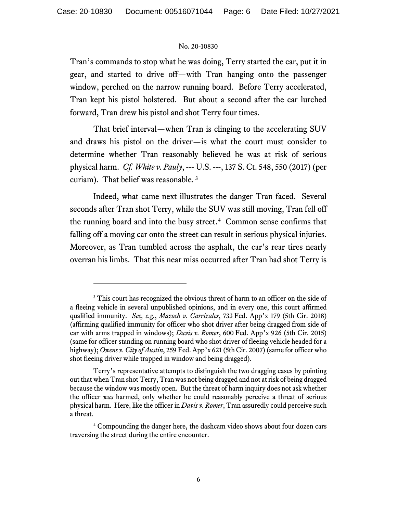Tran's commands to stop what he was doing, Terry started the car, put it in gear, and started to drive off—with Tran hanging onto the passenger window, perched on the narrow running board. Before Terry accelerated, Tran kept his pistol holstered. But about a second after the car lurched forward, Tran drew his pistol and shot Terry four times.

That brief interval—when Tran is clinging to the accelerating SUV and draws his pistol on the driver—is what the court must consider to determine whether Tran reasonably believed he was at risk of serious physical harm. *Cf. White v. Pauly*, --- U.S. ---, 137 S. Ct. 548, 550 (2017) (per curiam). That belief was reasonable. [3](#page-5-0)

Indeed, what came next illustrates the danger Tran faced. Several seconds after Tran shot Terry, while the SUV was still moving, Tran fell off the running board and into the busy street.<sup>4</sup> Common sense confirms that falling off a moving car onto the street can result in serious physical injuries. Moreover, as Tran tumbled across the asphalt, the car's rear tires nearly overran his limbs. That this near miss occurred after Tran had shot Terry is

<span id="page-5-0"></span><sup>&</sup>lt;sup>3</sup> This court has recognized the obvious threat of harm to an officer on the side of a fleeing vehicle in several unpublished opinions, and in every one, this court affirmed qualified immunity. *See, e.g.*, *Mazoch v. Carrizales*, 733 Fed. App'x 179 (5th Cir. 2018) (affirming qualified immunity for officer who shot driver after being dragged from side of car with arms trapped in windows); *Davis v. Romer*, 600 Fed. App'x 926 (5th Cir. 2015) (same for officer standing on running board who shot driver of fleeing vehicle headed for a highway); *Owens v. City of Austin*, 259 Fed. App'x 621 (5th Cir. 2007) (same for officer who shot fleeing driver while trapped in window and being dragged).

Terry's representative attempts to distinguish the two dragging cases by pointing out that when Tran shot Terry, Tran was not being dragged and not at risk of being dragged because the window was mostly open. But the threat of harm inquiry does not ask whether the officer *was* harmed, only whether he could reasonably perceive a threat of serious physical harm. Here, like the officer in *Davis v. Romer*, Tran assuredly could perceive such a threat.

<span id="page-5-1"></span><sup>4</sup> Compounding the danger here, the dashcam video shows about four dozen cars traversing the street during the entire encounter.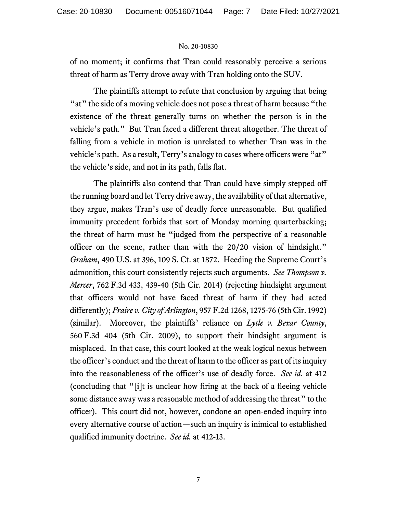of no moment; it confirms that Tran could reasonably perceive a serious threat of harm as Terry drove away with Tran holding onto the SUV.

The plaintiffs attempt to refute that conclusion by arguing that being "at" the side of a moving vehicle does not pose a threat of harm because "the existence of the threat generally turns on whether the person is in the vehicle's path." But Tran faced a different threat altogether. The threat of falling from a vehicle in motion is unrelated to whether Tran was in the vehicle's path. As a result, Terry's analogy to cases where officers were "at" the vehicle's side, and not in its path, falls flat.

The plaintiffs also contend that Tran could have simply stepped off the running board and let Terry drive away, the availability of that alternative, they argue, makes Tran's use of deadly force unreasonable. But qualified immunity precedent forbids that sort of Monday morning quarterbacking; the threat of harm must be "judged from the perspective of a reasonable officer on the scene, rather than with the 20/20 vision of hindsight." *Graham*, 490 U.S. at 396, 109 S. Ct. at 1872. Heeding the Supreme Court's admonition, this court consistently rejects such arguments. *See Thompson v. Mercer*, 762 F.3d 433, 439-40 (5th Cir. 2014) (rejecting hindsight argument that officers would not have faced threat of harm if they had acted differently); *Fraire v. City of Arlington*, 957 F.2d 1268, 1275-76 (5th Cir. 1992) (similar). Moreover, the plaintiffs' reliance on *Lytle v. Bexar County*, 560 F.3d 404 (5th Cir. 2009), to support their hindsight argument is misplaced. In that case, this court looked at the weak logical nexus between the officer's conduct and the threat of harm to the officer as part of its inquiry into the reasonableness of the officer's use of deadly force. *See id.* at 412 (concluding that "[i]t is unclear how firing at the back of a fleeing vehicle some distance away was a reasonable method of addressing the threat" to the officer). This court did not, however, condone an open-ended inquiry into every alternative course of action—such an inquiry is inimical to established qualified immunity doctrine. *See id.* at 412-13.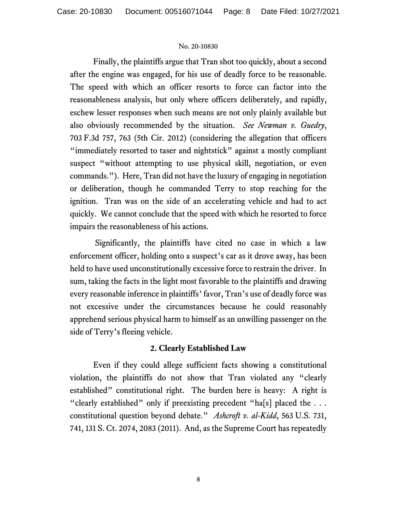Finally, the plaintiffs argue that Tran shot too quickly, about a second after the engine was engaged, for his use of deadly force to be reasonable. The speed with which an officer resorts to force can factor into the reasonableness analysis, but only where officers deliberately, and rapidly, eschew lesser responses when such means are not only plainly available but also obviously recommended by the situation. *See Newman v. Guedry*, 703 F.3d 757, 763 (5th Cir. 2012) (considering the allegation that officers "immediately resorted to taser and nightstick" against a mostly compliant suspect "without attempting to use physical skill, negotiation, or even commands."). Here, Tran did not have the luxury of engaging in negotiation or deliberation, though he commanded Terry to stop reaching for the ignition. Tran was on the side of an accelerating vehicle and had to act quickly. We cannot conclude that the speed with which he resorted to force impairs the reasonableness of his actions.

Significantly, the plaintiffs have cited no case in which a law enforcement officer, holding onto a suspect's car as it drove away, has been held to have used unconstitutionally excessive force to restrain the driver. In sum, taking the facts in the light most favorable to the plaintiffs and drawing every reasonable inference in plaintiffs' favor, Tran's use of deadly force was not excessive under the circumstances because he could reasonably apprehend serious physical harm to himself as an unwilling passenger on the side of Terry's fleeing vehicle.

## **2. Clearly Established Law**

Even if they could allege sufficient facts showing a constitutional violation, the plaintiffs do not show that Tran violated any "clearly established" constitutional right. The burden here is heavy: A right is "clearly established" only if preexisting precedent "ha[s] placed the ... constitutional question beyond debate." *Ashcroft v. al-Kidd*, 563 U.S. 731, 741, 131 S. Ct. 2074, 2083 (2011). And, as the Supreme Court has repeatedly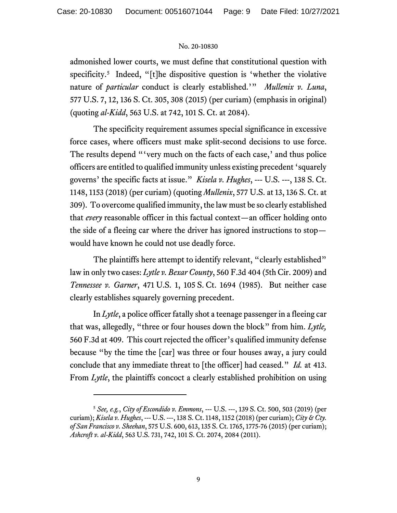admonished lower courts, we must define that constitutional question with specificity. [5](#page-8-0) Indeed, "[t]he dispositive question is 'whether the violative nature of *particular* conduct is clearly established.'" *Mullenix v. Luna*, 577 U.S. 7, 12, 136 S. Ct. 305, 308 (2015) (per curiam) (emphasis in original) (quoting *al-Kidd*, 563 U.S. at 742, 101 S. Ct. at 2084).

The specificity requirement assumes special significance in excessive force cases, where officers must make split-second decisions to use force. The results depend "'very much on the facts of each case,' and thus police officers are entitled to qualified immunity unless existing precedent 'squarely governs' the specific facts at issue." *Kisela v. Hughes*, --- U.S. ---, 138 S. Ct. 1148, 1153 (2018) (per curiam) (quoting *Mullenix*, 577 U.S. at 13, 136 S. Ct. at 309). To overcome qualified immunity, the law must be so clearly established that *every* reasonable officer in this factual context—an officer holding onto the side of a fleeing car where the driver has ignored instructions to stop would have known he could not use deadly force.

The plaintiffs here attempt to identify relevant, "clearly established" law in only two cases: *Lytle v. Bexar County*, 560 F.3d 404 (5th Cir. 2009) and *Tennessee v. Garner*, 471 U.S. 1, 105 S. Ct. 1694 (1985). But neither case clearly establishes squarely governing precedent.

In *Lytle*, a police officer fatally shot a teenage passenger in a fleeing car that was, allegedly, "three or four houses down the block" from him. *Lytle,*  560 F.3d at 409. This court rejected the officer's qualified immunity defense because "by the time the [car] was three or four houses away, a jury could conclude that any immediate threat to [the officer] had ceased." *Id.* at 413. From *Lytle*, the plaintiffs concoct a clearly established prohibition on using

<span id="page-8-0"></span><sup>5</sup> *See, e.g.*, *City of Escondido v. Emmons*, --- U.S. ---, 139 S. Ct. 500, 503 (2019) (per curiam); *Kisela v. Hughes*, --- U.S. ---, 138 S. Ct. 1148, 1152 (2018) (per curiam); *City & Cty. of San Francisco v. Sheehan*, 575 U.S. 600, 613, 135 S. Ct. 1765, 1775-76 (2015) (per curiam); *Ashcroft v. al-Kidd*, 563 U.S. 731, 742, 101 S. Ct. 2074, 2084 (2011).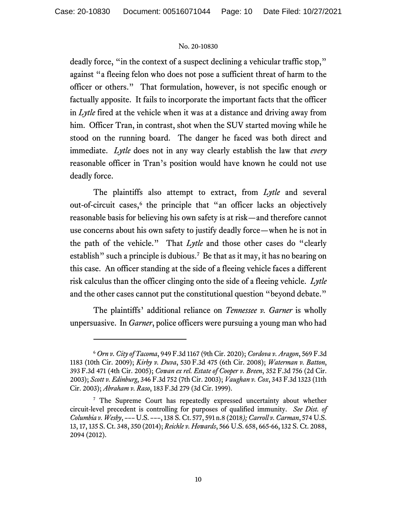deadly force, "in the context of a suspect declining a vehicular traffic stop," against "a fleeing felon who does not pose a sufficient threat of harm to the officer or others." That formulation, however, is not specific enough or factually apposite. It fails to incorporate the important facts that the officer in *Lytle* fired at the vehicle when it was at a distance and driving away from him. Officer Tran, in contrast, shot when the SUV started moving while he stood on the running board. The danger he faced was both direct and immediate. *Lytle* does not in any way clearly establish the law that *every* reasonable officer in Tran's position would have known he could not use deadly force.

The plaintiffs also attempt to extract, from *Lytle* and several out-of-circuit cases,<sup>[6](#page-9-0)</sup> the principle that "an officer lacks an objectively reasonable basis for believing his own safety is at risk—and therefore cannot use concerns about his own safety to justify deadly force—when he is not in the path of the vehicle." That *Lytle* and those other cases do "clearly establish" such a principle is dubious.<sup>[7](#page-9-1)</sup> Be that as it may, it has no bearing on this case. An officer standing at the side of a fleeing vehicle faces a different risk calculus than the officer clinging onto the side of a fleeing vehicle. *Lytle* and the other cases cannot put the constitutional question "beyond debate."

The plaintiffs' additional reliance on *Tennessee v. Garner* is wholly unpersuasive. In *Garner*, police officers were pursuing a young man who had

<span id="page-9-0"></span><sup>6</sup> *Orn v. City of Tacoma*, 949 F.3d 1167 (9th Cir. 2020); *Cordova v. Aragon*, 569 F.3d 1183 (10th Cir. 2009); *Kirby v. Duva*, 530 F.3d 475 (6th Cir. 2008); *Waterman v. Batton*, 393 F.3d 471 (4th Cir. 2005); *Cowan ex rel. Estate of Cooper v. Breen*, 352 F.3d 756 (2d Cir. 2003); *Scott v. Edinburg*, 346 F.3d 752 (7th Cir. 2003); *Vaughan v. Cox*, 343 F.3d 1323 (11th Cir. 2003); *Abraham v. Raso*, 183 F.3d 279 (3d Cir. 1999).

<span id="page-9-1"></span><sup>&</sup>lt;sup>7</sup> The Supreme Court has repeatedly expressed uncertainty about whether circuit-level precedent is controlling for purposes of qualified immunity. *See Dist. of Columbia v. Wesby*, ––– U.S. –––, 138 S. Ct. 577, 591 n.8 (2018*); Carroll v. Carman*, 574 U.S. 13, 17, 135 S. Ct. 348, 350 (2014); *Reichle v. Howards*, 566 U.S. 658, 665-66, 132 S. Ct. 2088, 2094 (2012).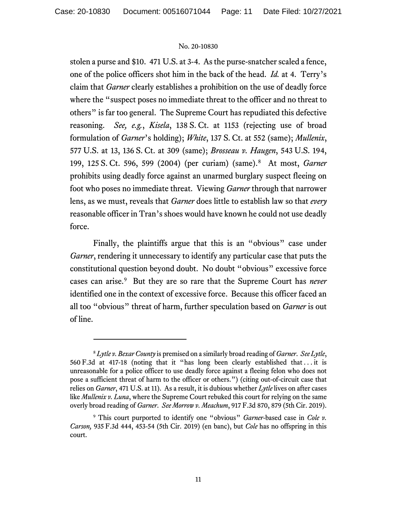stolen a purse and \$10. 471 U.S. at 3-4. As the purse-snatcher scaled a fence, one of the police officers shot him in the back of the head. *Id.* at 4. Terry's claim that *Garner* clearly establishes a prohibition on the use of deadly force where the "suspect poses no immediate threat to the officer and no threat to others" is far too general. The Supreme Court has repudiated this defective reasoning. *See, e.g.*, *Kisela*, 138 S. Ct. at 1153 (rejecting use of broad formulation of *Garner*'s holding); *White*, 137 S. Ct. at 552 (same); *Mullenix*, 577 U.S. at 13, 136 S. Ct. at 309 (same); *Brosseau v. Haugen*, 543 U.S. 194, 199, 125 S. Ct. 596, 599 (2004) (per curiam) (same).[8](#page-10-0) At most, *Garner* prohibits using deadly force against an unarmed burglary suspect fleeing on foot who poses no immediate threat. Viewing *Garner* through that narrower lens, as we must, reveals that *Garner* does little to establish law so that *every* reasonable officer in Tran's shoes would have known he could not use deadly force.

Finally, the plaintiffs argue that this is an "obvious" case under *Garner*, rendering it unnecessary to identify any particular case that puts the constitutional question beyond doubt. No doubt "obvious" excessive force cases can arise. [9](#page-10-1) But they are so rare that the Supreme Court has *never* identified one in the context of excessive force. Because this officer faced an all too "obvious" threat of harm, further speculation based on *Garner* is out of line.

<span id="page-10-0"></span><sup>8</sup> *Lytle v. Bexar County* is premised on a similarly broad reading of *Garner*. *See Lytle*, 560 F.3d at 417-18 (noting that it "has long been clearly established that . . . it is unreasonable for a police officer to use deadly force against a fleeing felon who does not pose a sufficient threat of harm to the officer or others.") (citing out-of-circuit case that relies on *Garner*, 471 U.S. at 11). As a result, it is dubious whether *Lytle* lives on after cases like *Mullenix v. Luna*, where the Supreme Court rebuked this court for relying on the same overly broad reading of *Garner*. *See Morrow v. Meachum*, 917 F.3d 870, 879 (5th Cir. 2019).

<span id="page-10-1"></span><sup>9</sup> This court purported to identify one "obvious" *Garner*-based case in *Cole v. Carson,* 935 F.3d 444, 453-54 (5th Cir. 2019) (en banc), but *Cole* has no offspring in this court.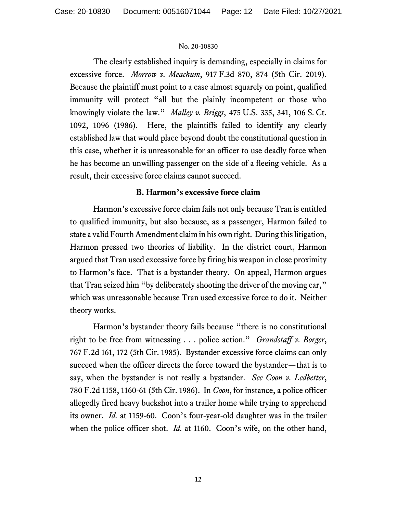The clearly established inquiry is demanding, especially in claims for excessive force. *Morrow v. Meachum*, 917 F.3d 870, 874 (5th Cir. 2019). Because the plaintiff must point to a case almost squarely on point, qualified immunity will protect "all but the plainly incompetent or those who knowingly violate the law." *Malley v. Briggs*, 475 U.S. 335, 341, 106 S. Ct. 1092, 1096 (1986). Here, the plaintiffs failed to identify any clearly established law that would place beyond doubt the constitutional question in this case, whether it is unreasonable for an officer to use deadly force when he has become an unwilling passenger on the side of a fleeing vehicle. As a result, their excessive force claims cannot succeed.

## **B. Harmon's excessive force claim**

Harmon's excessive force claim fails not only because Tran is entitled to qualified immunity, but also because, as a passenger, Harmon failed to state a valid Fourth Amendment claim in his own right. During this litigation, Harmon pressed two theories of liability. In the district court, Harmon argued that Tran used excessive force by firing his weapon in close proximity to Harmon's face. That is a bystander theory. On appeal, Harmon argues that Tran seized him "by deliberately shooting the driver of the moving car," which was unreasonable because Tran used excessive force to do it. Neither theory works.

Harmon's bystander theory fails because "there is no constitutional right to be free from witnessing . . . police action." *Grandstaff v. Borger*, 767 F.2d 161, 172 (5th Cir. 1985). Bystander excessive force claims can only succeed when the officer directs the force toward the bystander—that is to say, when the bystander is not really a bystander. *See Coon v. Ledbetter*, 780 F.2d 1158, 1160-61 (5th Cir. 1986). In *Coon*, for instance, a police officer allegedly fired heavy buckshot into a trailer home while trying to apprehend its owner. *Id.* at 1159-60. Coon's four-year-old daughter was in the trailer when the police officer shot. *Id.* at 1160. Coon's wife, on the other hand,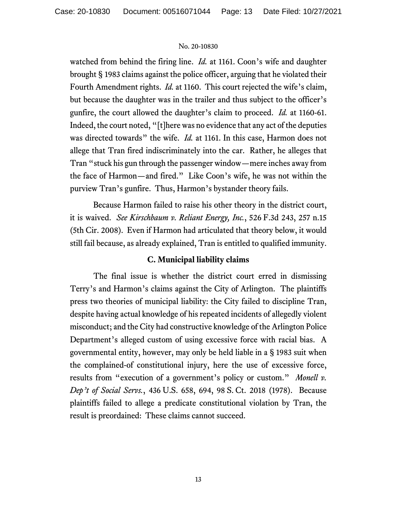watched from behind the firing line. *Id.* at 1161. Coon's wife and daughter brought § 1983 claims against the police officer, arguing that he violated their Fourth Amendment rights. *Id.* at 1160. This court rejected the wife's claim, but because the daughter was in the trailer and thus subject to the officer's gunfire, the court allowed the daughter's claim to proceed. *Id.* at 1160-61. Indeed, the court noted, "[t]here was no evidence that any act of the deputies was directed towards" the wife. *Id.* at 1161. In this case, Harmon does not allege that Tran fired indiscriminately into the car. Rather, he alleges that Tran "stuck his gun through the passenger window—mere inches away from the face of Harmon—and fired." Like Coon's wife, he was not within the purview Tran's gunfire. Thus, Harmon's bystander theory fails.

Because Harmon failed to raise his other theory in the district court, it is waived. *See Kirschbaum v. Reliant Energy, Inc.*, 526 F.3d 243, 257 n.15 (5th Cir. 2008). Even if Harmon had articulated that theory below, it would still fail because, as already explained, Tran is entitled to qualified immunity.

## **C. Municipal liability claims**

The final issue is whether the district court erred in dismissing Terry's and Harmon's claims against the City of Arlington. The plaintiffs press two theories of municipal liability: the City failed to discipline Tran, despite having actual knowledge of his repeated incidents of allegedly violent misconduct; and the City had constructive knowledge of the Arlington Police Department's alleged custom of using excessive force with racial bias. A governmental entity, however, may only be held liable in a § 1983 suit when the complained-of constitutional injury, here the use of excessive force, results from "execution of a government's policy or custom." *Monell v. Dep't of Social Servs.*, 436 U.S. 658, 694, 98 S. Ct. 2018 (1978). Because plaintiffs failed to allege a predicate constitutional violation by Tran, the result is preordained: These claims cannot succeed.